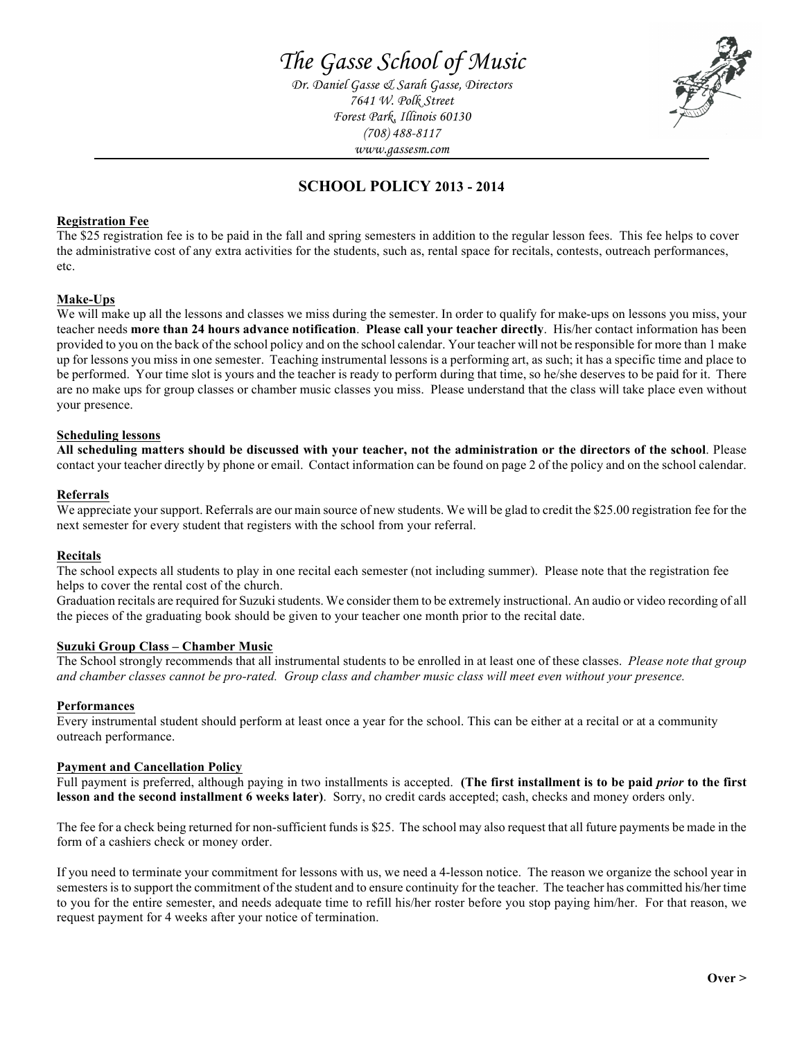*Dr. Daniel Gasse & Sarah Gasse, Directors 7641 W. Polk Street Forest Park, Illinois 60130 (708) 488-8117 www.gassesm.com*



# **SCHOOL POLICY 2013 - 2014**

# **Registration Fee**

The \$25 registration fee is to be paid in the fall and spring semesters in addition to the regular lesson fees. This fee helps to cover the administrative cost of any extra activities for the students, such as, rental space for recitals, contests, outreach performances, etc.

## **Make-Ups**

We will make up all the lessons and classes we miss during the semester. In order to qualify for make-ups on lessons you miss, your teacher needs **more than 24 hours advance notification**. **Please call your teacher directly**. His/her contact information has been provided to you on the back of the school policy and on the school calendar. Your teacher will not be responsible for more than 1 make up for lessons you miss in one semester. Teaching instrumental lessons is a performing art, as such; it has a specific time and place to be performed. Your time slot is yours and the teacher is ready to perform during that time, so he/she deserves to be paid for it. There are no make ups for group classes or chamber music classes you miss. Please understand that the class will take place even without your presence.

## **Scheduling lessons**

**All scheduling matters should be discussed with your teacher, not the administration or the directors of the school**. Please contact your teacher directly by phone or email. Contact information can be found on page 2 of the policy and on the school calendar.

## **Referrals**

We appreciate your support. Referrals are our main source of new students. We will be glad to credit the \$25.00 registration fee for the next semester for every student that registers with the school from your referral.

#### **Recitals**

The school expects all students to play in one recital each semester (not including summer). Please note that the registration fee helps to cover the rental cost of the church.

Graduation recitals are required for Suzuki students. We consider them to be extremely instructional. An audio or video recording of all the pieces of the graduating book should be given to your teacher one month prior to the recital date.

#### **Suzuki Group Class – Chamber Music**

The School strongly recommends that all instrumental students to be enrolled in at least one of these classes. *Please note that group and chamber classes cannot be pro-rated. Group class and chamber music class will meet even without your presence.*

#### **Performances**

Every instrumental student should perform at least once a year for the school. This can be either at a recital or at a community outreach performance.

#### **Payment and Cancellation Policy**

Full payment is preferred, although paying in two installments is accepted. **(The first installment is to be paid** *prior* **to the first lesson and the second installment 6 weeks later)**. Sorry, no credit cards accepted; cash, checks and money orders only.

The fee for a check being returned for non-sufficient funds is \$25. The school may also request that all future payments be made in the form of a cashiers check or money order.

If you need to terminate your commitment for lessons with us, we need a 4-lesson notice. The reason we organize the school year in semesters is to support the commitment of the student and to ensure continuity for the teacher. The teacher has committed his/her time to you for the entire semester, and needs adequate time to refill his/her roster before you stop paying him/her. For that reason, we request payment for 4 weeks after your notice of termination.